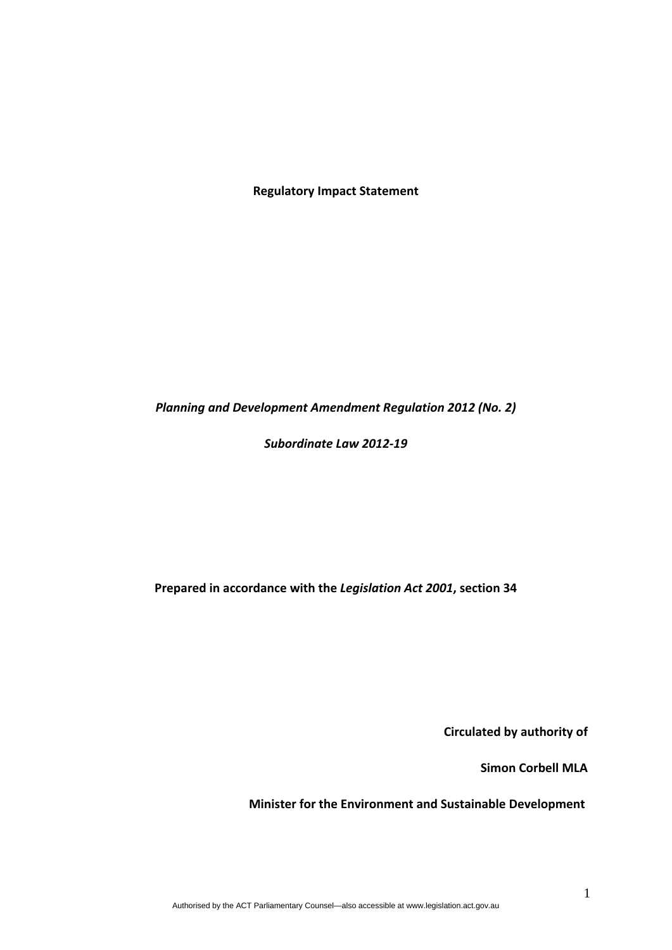**Regulatory Impact Statement**

*Planning and Development Amendment Regulation 2012 (No. 2)*

*Subordinate Law 2012‐19*

**Prepared in accordance with the** *Legislation Act 2001***, section 34**

**Circulated by authority of**

**Simon Corbell MLA**

**Minister for the Environment and Sustainable Development**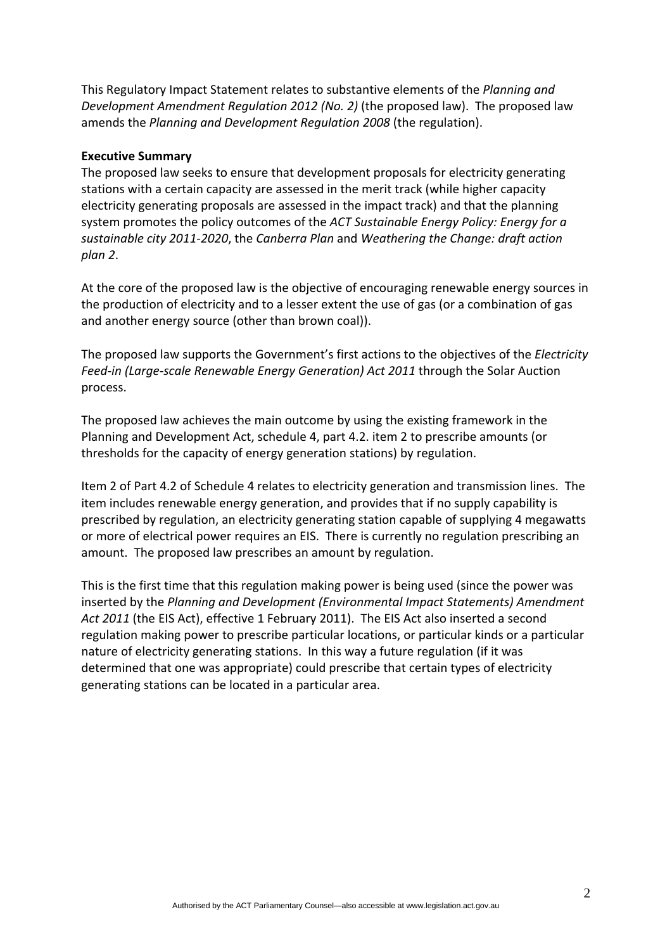This Regulatory Impact Statement relates to substantive elements of the *Planning and Development Amendment Regulation 2012 (No. 2)* (the proposed law). The proposed law amends the *Planning and Development Regulation 2008* (the regulation).

#### **Executive Summary**

The proposed law seeks to ensure that development proposals for electricity generating stations with a certain capacity are assessed in the merit track (while higher capacity electricity generating proposals are assessed in the impact track) and that the planning system promotes the policy outcomes of the *ACT Sustainable Energy Policy: Energy for a sustainable city 2011‐2020*, the *Canberra Plan* and *Weathering the Change: draft action plan 2*.

At the core of the proposed law is the objective of encouraging renewable energy sources in the production of electricity and to a lesser extent the use of gas (or a combination of gas and another energy source (other than brown coal)).

The proposed law supports the Government's first actions to the objectives of the *Electricity Feed‐in (Large‐scale Renewable Energy Generation) Act 2011* through the Solar Auction process.

The proposed law achieves the main outcome by using the existing framework in the Planning and Development Act, schedule 4, part 4.2. item 2 to prescribe amounts (or thresholds for the capacity of energy generation stations) by regulation.

Item 2 of Part 4.2 of Schedule 4 relates to electricity generation and transmission lines. The item includes renewable energy generation, and provides that if no supply capability is prescribed by regulation, an electricity generating station capable of supplying 4 megawatts or more of electrical power requires an EIS. There is currently no regulation prescribing an amount. The proposed law prescribes an amount by regulation.

This is the first time that this regulation making power is being used (since the power was inserted by the *Planning and Development (Environmental Impact Statements) Amendment Act 2011* (the EIS Act), effective 1 February 2011). The EIS Act also inserted a second regulation making power to prescribe particular locations, or particular kinds or a particular nature of electricity generating stations. In this way a future regulation (if it was determined that one was appropriate) could prescribe that certain types of electricity generating stations can be located in a particular area.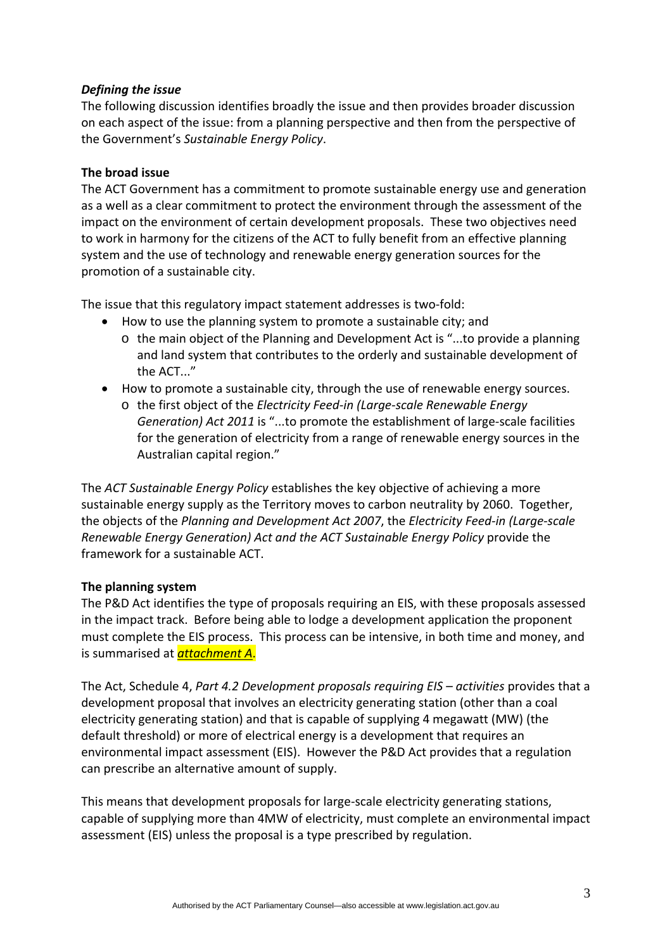#### *Defining the issue*

The following discussion identifies broadly the issue and then provides broader discussion on each aspect of the issue: from a planning perspective and then from the perspective of the Government's *Sustainable Energy Policy*.

#### **The broad issue**

The ACT Government has a commitment to promote sustainable energy use and generation as a well as a clear commitment to protect the environment through the assessment of the impact on the environment of certain development proposals. These two objectives need to work in harmony for the citizens of the ACT to fully benefit from an effective planning system and the use of technology and renewable energy generation sources for the promotion of a sustainable city.

The issue that this regulatory impact statement addresses is two-fold:

- How to use the planning system to promote a sustainable city; and
	- o the main object of the Planning and Development Act is "...to provide a planning and land system that contributes to the orderly and sustainable development of the ACT..."
- How to promote a sustainable city, through the use of renewable energy sources.
	- o the first object of the *Electricity Feed‐in (Large‐scale Renewable Energy Generation) Act 2011* is "...to promote the establishment of large‐scale facilities for the generation of electricity from a range of renewable energy sources in the Australian capital region."

The *ACT Sustainable Energy Policy* establishes the key objective of achieving a more sustainable energy supply as the Territory moves to carbon neutrality by 2060. Together, the objects of the *Planning and Development Act 2007*, the *Electricity Feed‐in (Large‐scale Renewable Energy Generation) Act and the ACT Sustainable Energy Policy* provide the framework for a sustainable ACT.

#### **The planning system**

The P&D Act identifies the type of proposals requiring an EIS, with these proposals assessed in the impact track. Before being able to lodge a development application the proponent must complete the EIS process. This process can be intensive, in both time and money, and is summarised at *attachment A*.

The Act, Schedule 4, *Part 4.2 Development proposals requiring EIS – activities* provides that a development proposal that involves an electricity generating station (other than a coal electricity generating station) and that is capable of supplying 4 megawatt (MW) (the default threshold) or more of electrical energy is a development that requires an environmental impact assessment (EIS). However the P&D Act provides that a regulation can prescribe an alternative amount of supply.

This means that development proposals for large‐scale electricity generating stations, capable of supplying more than 4MW of electricity, must complete an environmental impact assessment (EIS) unless the proposal is a type prescribed by regulation.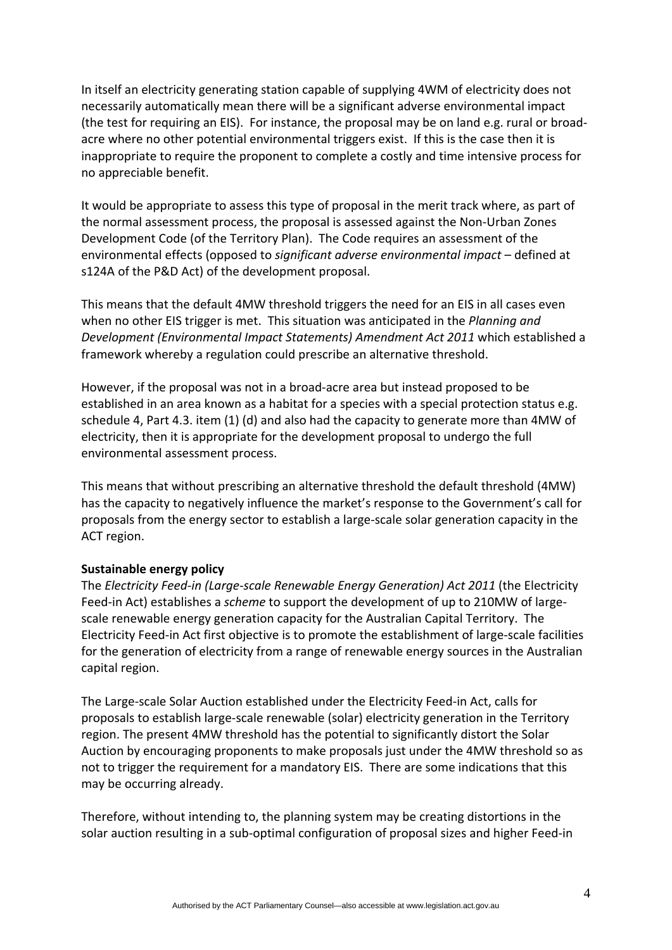In itself an electricity generating station capable of supplying 4WM of electricity does not necessarily automatically mean there will be a significant adverse environmental impact (the test for requiring an EIS). For instance, the proposal may be on land e.g. rural or broad‐ acre where no other potential environmental triggers exist. If this is the case then it is inappropriate to require the proponent to complete a costly and time intensive process for no appreciable benefit.

It would be appropriate to assess this type of proposal in the merit track where, as part of the normal assessment process, the proposal is assessed against the Non‐Urban Zones Development Code (of the Territory Plan). The Code requires an assessment of the environmental effects (opposed to *significant adverse environmental impact* – defined at s124A of the P&D Act) of the development proposal.

This means that the default 4MW threshold triggers the need for an EIS in all cases even when no other EIS trigger is met. This situation was anticipated in the *Planning and Development (Environmental Impact Statements) Amendment Act 2011* which established a framework whereby a regulation could prescribe an alternative threshold.

However, if the proposal was not in a broad‐acre area but instead proposed to be established in an area known as a habitat for a species with a special protection status e.g. schedule 4, Part 4.3. item (1) (d) and also had the capacity to generate more than 4MW of electricity, then it is appropriate for the development proposal to undergo the full environmental assessment process.

This means that without prescribing an alternative threshold the default threshold (4MW) has the capacity to negatively influence the market's response to the Government's call for proposals from the energy sector to establish a large‐scale solar generation capacity in the ACT region.

#### **Sustainable energy policy**

The *Electricity Feed‐in (Large‐scale Renewable Energy Generation) Act 2011* (the Electricity Feed-in Act) establishes a *scheme* to support the development of up to 210MW of largescale renewable energy generation capacity for the Australian Capital Territory. The Electricity Feed‐in Act first objective is to promote the establishment of large‐scale facilities for the generation of electricity from a range of renewable energy sources in the Australian capital region.

The Large‐scale Solar Auction established under the Electricity Feed‐in Act, calls for proposals to establish large‐scale renewable (solar) electricity generation in the Territory region. The present 4MW threshold has the potential to significantly distort the Solar Auction by encouraging proponents to make proposals just under the 4MW threshold so as not to trigger the requirement for a mandatory EIS. There are some indications that this may be occurring already.

Therefore, without intending to, the planning system may be creating distortions in the solar auction resulting in a sub-optimal configuration of proposal sizes and higher Feed-in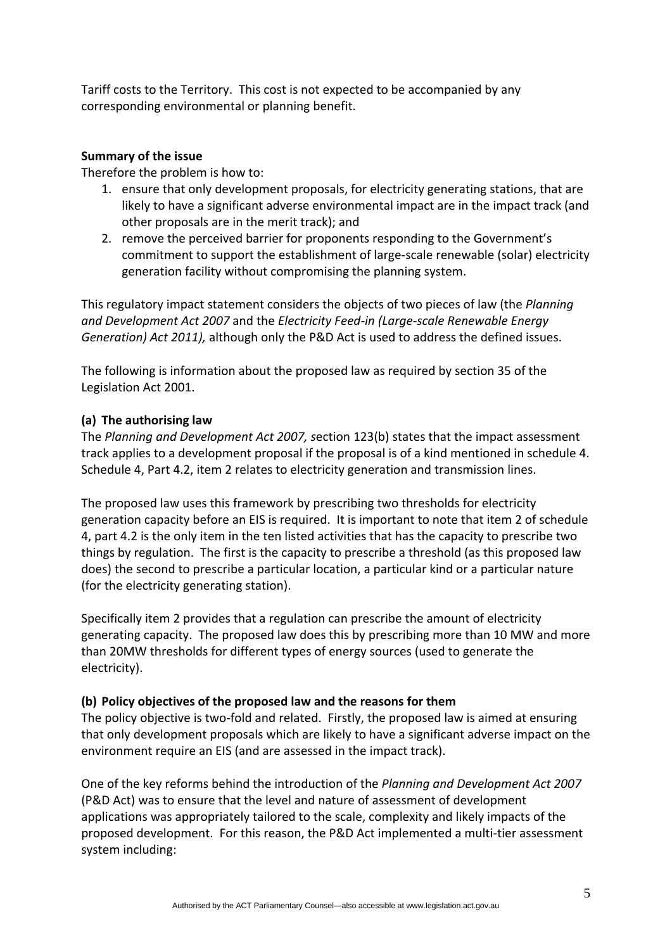Tariff costs to the Territory. This cost is not expected to be accompanied by any corresponding environmental or planning benefit.

#### **Summary of the issue**

Therefore the problem is how to:

- 1. ensure that only development proposals, for electricity generating stations, that are likely to have a significant adverse environmental impact are in the impact track (and other proposals are in the merit track); and
- 2. remove the perceived barrier for proponents responding to the Government's commitment to support the establishment of large‐scale renewable (solar) electricity generation facility without compromising the planning system.

This regulatory impact statement considers the objects of two pieces of law (the *Planning and Development Act 2007* and the *Electricity Feed‐in (Large‐scale Renewable Energy Generation) Act 2011),* although only the P&D Act is used to address the defined issues.

The following is information about the proposed law as required by section 35 of the Legislation Act 2001.

# **(a) The authorising law**

The *Planning and Development Act 2007, s*ection 123(b) states that the impact assessment track applies to a development proposal if the proposal is of a kind mentioned in schedule 4. Schedule 4, Part 4.2, item 2 relates to electricity generation and transmission lines.

The proposed law uses this framework by prescribing two thresholds for electricity generation capacity before an EIS is required. It is important to note that item 2 of schedule 4, part 4.2 is the only item in the ten listed activities that has the capacity to prescribe two things by regulation. The first is the capacity to prescribe a threshold (as this proposed law does) the second to prescribe a particular location, a particular kind or a particular nature (for the electricity generating station).

Specifically item 2 provides that a regulation can prescribe the amount of electricity generating capacity. The proposed law does this by prescribing more than 10 MW and more than 20MW thresholds for different types of energy sources (used to generate the electricity).

# **(b) Policy objectives of the proposed law and the reasons for them**

The policy objective is two-fold and related. Firstly, the proposed law is aimed at ensuring that only development proposals which are likely to have a significant adverse impact on the environment require an EIS (and are assessed in the impact track).

One of the key reforms behind the introduction of the *Planning and Development Act 2007* (P&D Act) was to ensure that the level and nature of assessment of development applications was appropriately tailored to the scale, complexity and likely impacts of the proposed development. For this reason, the P&D Act implemented a multi‐tier assessment system including: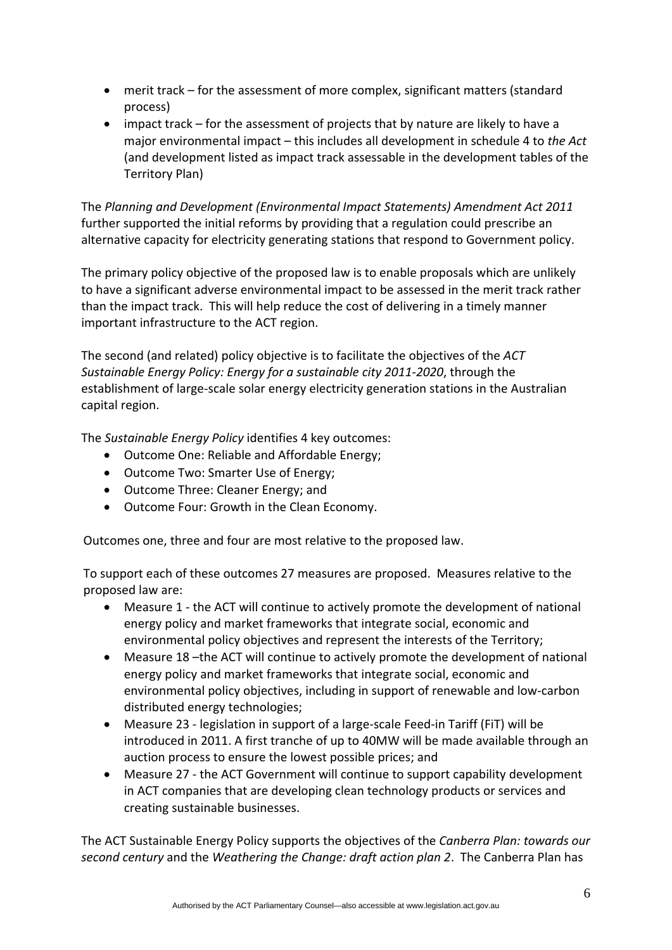- merit track for the assessment of more complex, significant matters (standard process)
- impact track for the assessment of projects that by nature are likely to have a major environmental impact – this includes all development in schedule 4 to *the Act* (and development listed as impact track assessable in the development tables of the Territory Plan)

The *Planning and Development (Environmental Impact Statements) Amendment Act 2011* further supported the initial reforms by providing that a regulation could prescribe an alternative capacity for electricity generating stations that respond to Government policy.

The primary policy objective of the proposed law is to enable proposals which are unlikely to have a significant adverse environmental impact to be assessed in the merit track rather than the impact track. This will help reduce the cost of delivering in a timely manner important infrastructure to the ACT region.

The second (and related) policy objective is to facilitate the objectives of the *ACT Sustainable Energy Policy: Energy for a sustainable city 2011‐2020*, through the establishment of large‐scale solar energy electricity generation stations in the Australian capital region.

The *Sustainable Energy Policy* identifies 4 key outcomes:

- Outcome One: Reliable and Affordable Energy;
- Outcome Two: Smarter Use of Energy;
- Outcome Three: Cleaner Energy; and
- Outcome Four: Growth in the Clean Economy.

Outcomes one, three and four are most relative to the proposed law.

To support each of these outcomes 27 measures are proposed. Measures relative to the proposed law are:

- Measure 1 ‐ the ACT will continue to actively promote the development of national energy policy and market frameworks that integrate social, economic and environmental policy objectives and represent the interests of the Territory;
- Measure 18 –the ACT will continue to actively promote the development of national energy policy and market frameworks that integrate social, economic and environmental policy objectives, including in support of renewable and low‐carbon distributed energy technologies;
- Measure 23 legislation in support of a large-scale Feed-in Tariff (FiT) will be introduced in 2011. A first tranche of up to 40MW will be made available through an auction process to ensure the lowest possible prices; and
- Measure 27 the ACT Government will continue to support capability development in ACT companies that are developing clean technology products or services and creating sustainable businesses.

The ACT Sustainable Energy Policy supports the objectives of the *Canberra Plan: towards our second century* and the *Weathering the Change: draft action plan 2*. The Canberra Plan has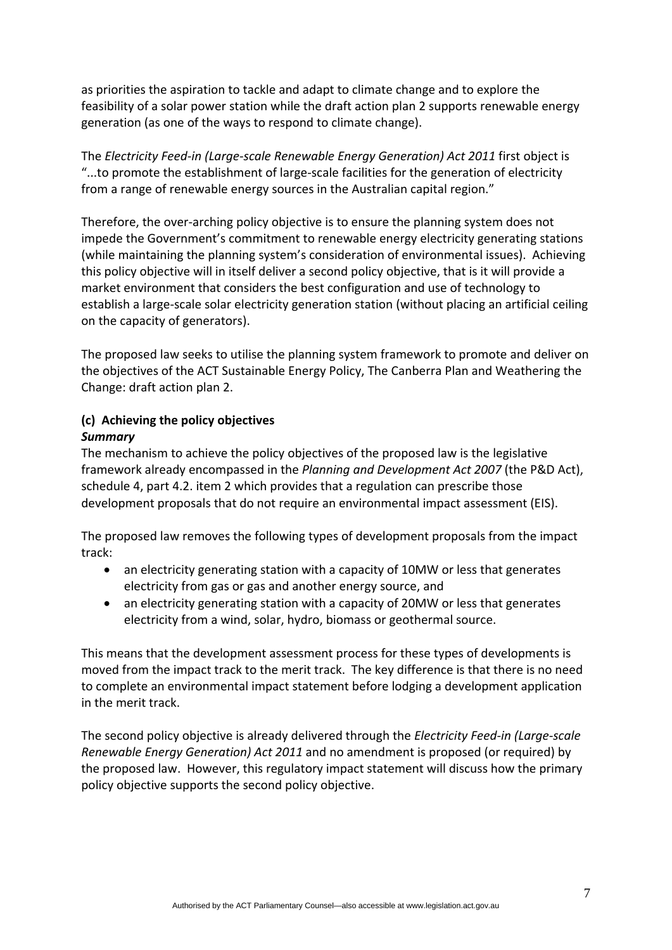as priorities the aspiration to tackle and adapt to climate change and to explore the feasibility of a solar power station while the draft action plan 2 supports renewable energy generation (as one of the ways to respond to climate change).

The *Electricity Feed‐in (Large‐scale Renewable Energy Generation) Act 2011* first object is "...to promote the establishment of large‐scale facilities for the generation of electricity from a range of renewable energy sources in the Australian capital region."

Therefore, the over‐arching policy objective is to ensure the planning system does not impede the Government's commitment to renewable energy electricity generating stations (while maintaining the planning system's consideration of environmental issues). Achieving this policy objective will in itself deliver a second policy objective, that is it will provide a market environment that considers the best configuration and use of technology to establish a large-scale solar electricity generation station (without placing an artificial ceiling on the capacity of generators).

The proposed law seeks to utilise the planning system framework to promote and deliver on the objectives of the ACT Sustainable Energy Policy, The Canberra Plan and Weathering the Change: draft action plan 2.

# **(c) Achieving the policy objectives**

# *Summary*

The mechanism to achieve the policy objectives of the proposed law is the legislative framework already encompassed in the *Planning and Development Act 2007* (the P&D Act), schedule 4, part 4.2. item 2 which provides that a regulation can prescribe those development proposals that do not require an environmental impact assessment (EIS).

The proposed law removes the following types of development proposals from the impact track:

- an electricity generating station with a capacity of 10MW or less that generates electricity from gas or gas and another energy source, and
- an electricity generating station with a capacity of 20MW or less that generates electricity from a wind, solar, hydro, biomass or geothermal source.

This means that the development assessment process for these types of developments is moved from the impact track to the merit track. The key difference is that there is no need to complete an environmental impact statement before lodging a development application in the merit track.

The second policy objective is already delivered through the *Electricity Feed‐in (Large‐scale Renewable Energy Generation) Act 2011* and no amendment is proposed (or required) by the proposed law. However, this regulatory impact statement will discuss how the primary policy objective supports the second policy objective.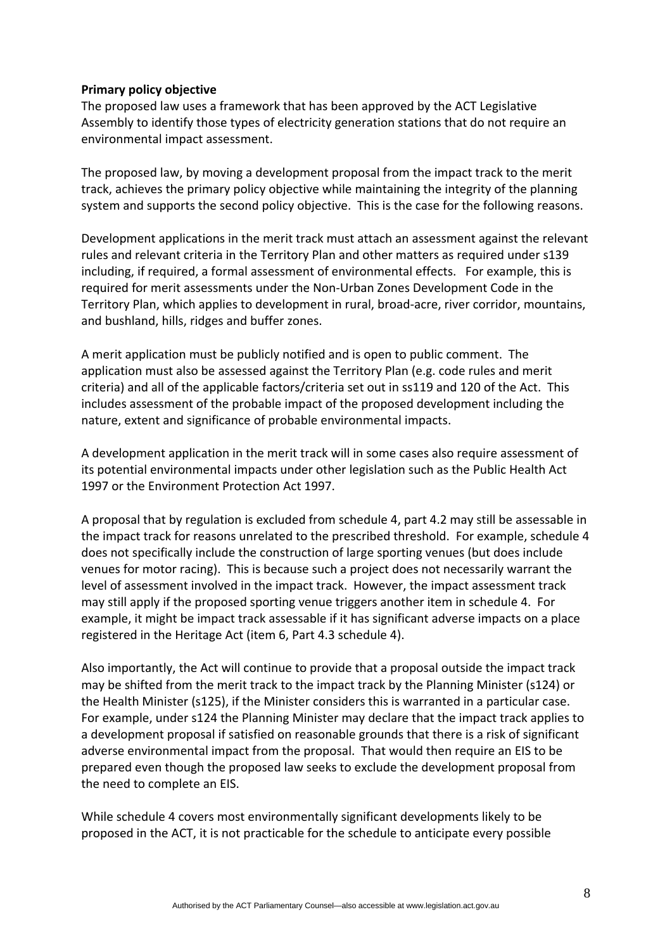#### **Primary policy objective**

The proposed law uses a framework that has been approved by the ACT Legislative Assembly to identify those types of electricity generation stations that do not require an environmental impact assessment.

The proposed law, by moving a development proposal from the impact track to the merit track, achieves the primary policy objective while maintaining the integrity of the planning system and supports the second policy objective. This is the case for the following reasons.

Development applications in the merit track must attach an assessment against the relevant rules and relevant criteria in the Territory Plan and other matters as required under s139 including, if required, a formal assessment of environmental effects. For example, this is required for merit assessments under the Non‐Urban Zones Development Code in the Territory Plan, which applies to development in rural, broad‐acre, river corridor, mountains, and bushland, hills, ridges and buffer zones.

A merit application must be publicly notified and is open to public comment. The application must also be assessed against the Territory Plan (e.g. code rules and merit criteria) and all of the applicable factors/criteria set out in ss119 and 120 of the Act. This includes assessment of the probable impact of the proposed development including the nature, extent and significance of probable environmental impacts.

A development application in the merit track will in some cases also require assessment of its potential environmental impacts under other legislation such as the Public Health Act 1997 or the Environment Protection Act 1997.

A proposal that by regulation is excluded from schedule 4, part 4.2 may still be assessable in the impact track for reasons unrelated to the prescribed threshold. For example, schedule 4 does not specifically include the construction of large sporting venues (but does include venues for motor racing). This is because such a project does not necessarily warrant the level of assessment involved in the impact track. However, the impact assessment track may still apply if the proposed sporting venue triggers another item in schedule 4. For example, it might be impact track assessable if it has significant adverse impacts on a place registered in the Heritage Act (item 6, Part 4.3 schedule 4).

Also importantly, the Act will continue to provide that a proposal outside the impact track may be shifted from the merit track to the impact track by the Planning Minister (s124) or the Health Minister (s125), if the Minister considers this is warranted in a particular case. For example, under s124 the Planning Minister may declare that the impact track applies to a development proposal if satisfied on reasonable grounds that there is a risk of significant adverse environmental impact from the proposal. That would then require an EIS to be prepared even though the proposed law seeks to exclude the development proposal from the need to complete an EIS.

While schedule 4 covers most environmentally significant developments likely to be proposed in the ACT, it is not practicable for the schedule to anticipate every possible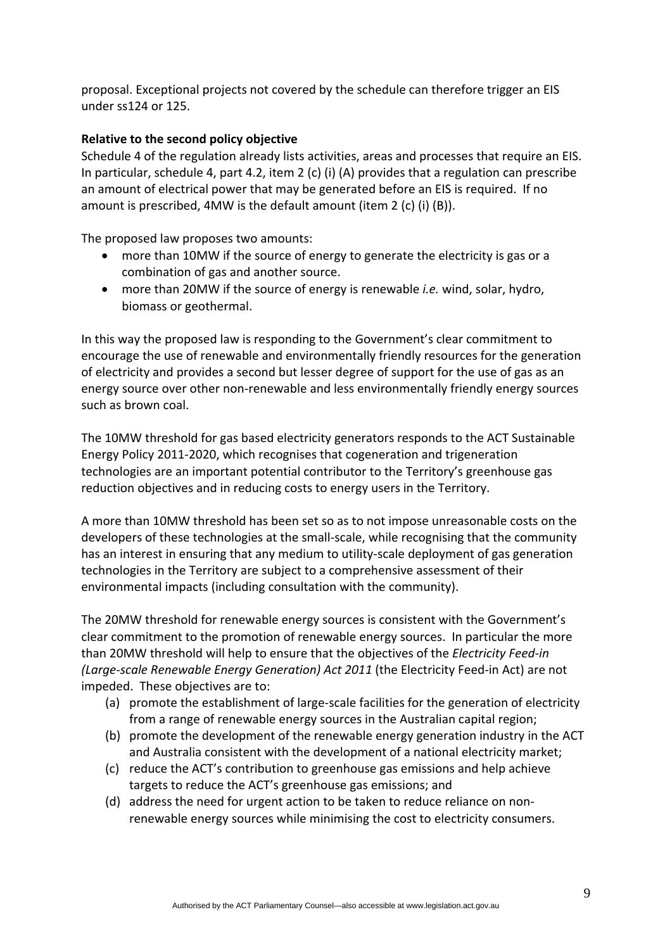proposal. Exceptional projects not covered by the schedule can therefore trigger an EIS under ss124 or 125.

#### **Relative to the second policy objective**

Schedule 4 of the regulation already lists activities, areas and processes that require an EIS. In particular, schedule 4, part 4.2, item 2 (c) (i) (A) provides that a regulation can prescribe an amount of electrical power that may be generated before an EIS is required. If no amount is prescribed, 4MW is the default amount (item 2 (c) (i) (B)).

The proposed law proposes two amounts:

- more than 10MW if the source of energy to generate the electricity is gas or a combination of gas and another source.
- more than 20MW if the source of energy is renewable *i.e.* wind, solar, hydro, biomass or geothermal.

In this way the proposed law is responding to the Government's clear commitment to encourage the use of renewable and environmentally friendly resources for the generation of electricity and provides a second but lesser degree of support for the use of gas as an energy source over other non-renewable and less environmentally friendly energy sources such as brown coal.

The 10MW threshold for gas based electricity generators responds to the ACT Sustainable Energy Policy 2011‐2020, which recognises that cogeneration and trigeneration technologies are an important potential contributor to the Territory's greenhouse gas reduction objectives and in reducing costs to energy users in the Territory.

A more than 10MW threshold has been set so as to not impose unreasonable costs on the developers of these technologies at the small‐scale, while recognising that the community has an interest in ensuring that any medium to utility‐scale deployment of gas generation technologies in the Territory are subject to a comprehensive assessment of their environmental impacts (including consultation with the community).

The 20MW threshold for renewable energy sources is consistent with the Government's clear commitment to the promotion of renewable energy sources. In particular the more than 20MW threshold will help to ensure that the objectives of the *Electricity Feed‐in (Large‐scale Renewable Energy Generation) Act 2011* (the Electricity Feed‐in Act) are not impeded. These objectives are to:

- (a) promote the establishment of large‐scale facilities for the generation of electricity from a range of renewable energy sources in the Australian capital region;
- (b) promote the development of the renewable energy generation industry in the ACT and Australia consistent with the development of a national electricity market;
- (c) reduce the ACT's contribution to greenhouse gas emissions and help achieve targets to reduce the ACT's greenhouse gas emissions; and
- (d) address the need for urgent action to be taken to reduce reliance on non‐ renewable energy sources while minimising the cost to electricity consumers.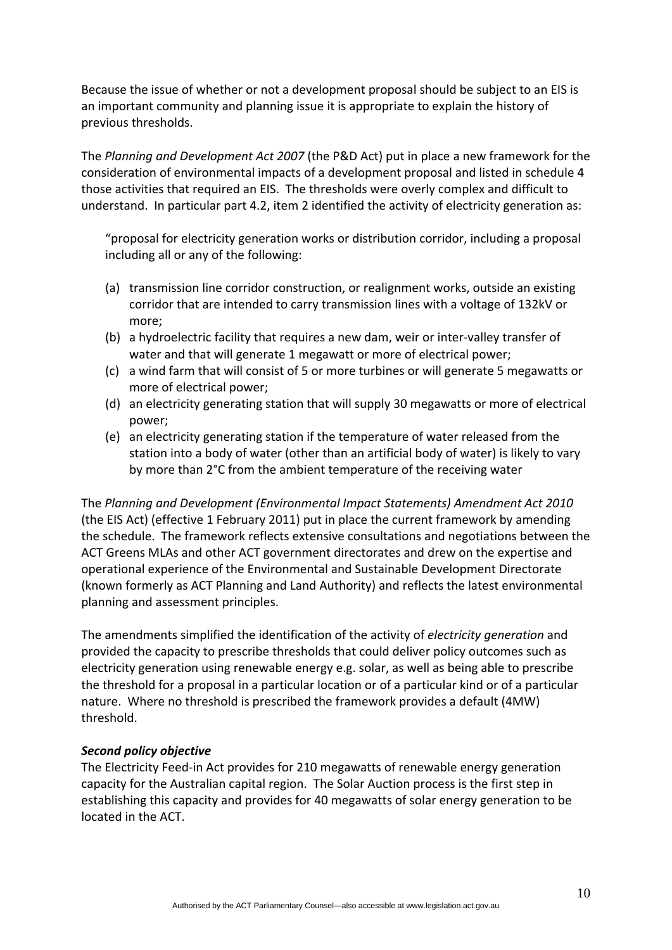Because the issue of whether or not a development proposal should be subject to an EIS is an important community and planning issue it is appropriate to explain the history of previous thresholds.

The *Planning and Development Act 2007* (the P&D Act) put in place a new framework for the consideration of environmental impacts of a development proposal and listed in schedule 4 those activities that required an EIS. The thresholds were overly complex and difficult to understand. In particular part 4.2, item 2 identified the activity of electricity generation as:

"proposal for electricity generation works or distribution corridor, including a proposal including all or any of the following:

- (a) transmission line corridor construction, or realignment works, outside an existing corridor that are intended to carry transmission lines with a voltage of 132kV or more;
- (b) a hydroelectric facility that requires a new dam, weir or inter‐valley transfer of water and that will generate 1 megawatt or more of electrical power;
- (c) a wind farm that will consist of 5 or more turbines or will generate 5 megawatts or more of electrical power;
- (d) an electricity generating station that will supply 30 megawatts or more of electrical power;
- (e) an electricity generating station if the temperature of water released from the station into a body of water (other than an artificial body of water) is likely to vary by more than 2°C from the ambient temperature of the receiving water

The *Planning and Development (Environmental Impact Statements) Amendment Act 2010* (the EIS Act) (effective 1 February 2011) put in place the current framework by amending the schedule. The framework reflects extensive consultations and negotiations between the ACT Greens MLAs and other ACT government directorates and drew on the expertise and operational experience of the Environmental and Sustainable Development Directorate (known formerly as ACT Planning and Land Authority) and reflects the latest environmental planning and assessment principles.

The amendments simplified the identification of the activity of *electricity generation* and provided the capacity to prescribe thresholds that could deliver policy outcomes such as electricity generation using renewable energy e.g. solar, as well as being able to prescribe the threshold for a proposal in a particular location or of a particular kind or of a particular nature. Where no threshold is prescribed the framework provides a default (4MW) threshold.

# *Second policy objective*

The Electricity Feed‐in Act provides for 210 megawatts of renewable energy generation capacity for the Australian capital region. The Solar Auction process is the first step in establishing this capacity and provides for 40 megawatts of solar energy generation to be located in the ACT.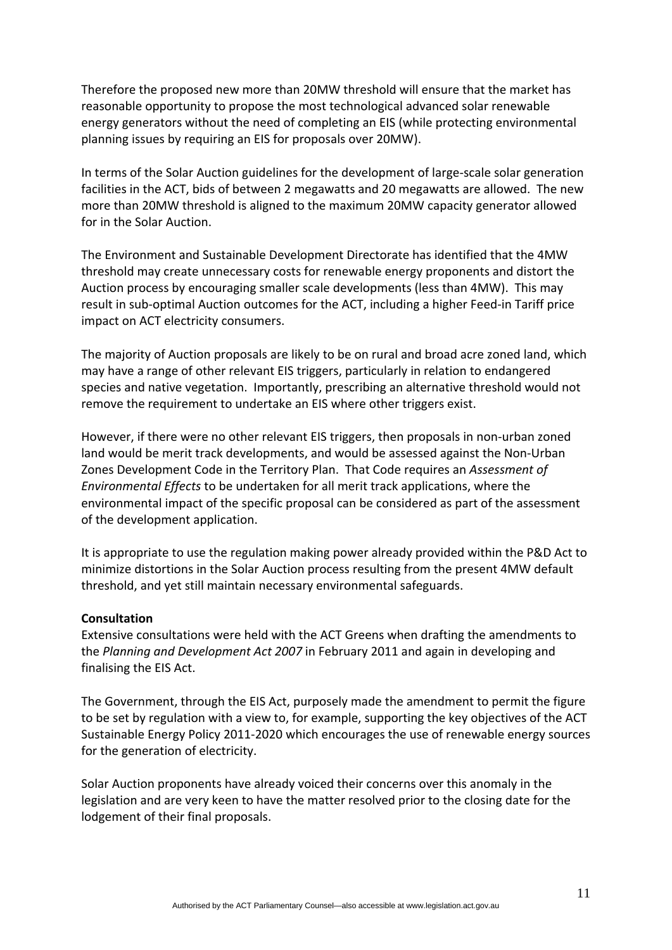Therefore the proposed new more than 20MW threshold will ensure that the market has reasonable opportunity to propose the most technological advanced solar renewable energy generators without the need of completing an EIS (while protecting environmental planning issues by requiring an EIS for proposals over 20MW).

In terms of the Solar Auction guidelines for the development of large‐scale solar generation facilities in the ACT, bids of between 2 megawatts and 20 megawatts are allowed. The new more than 20MW threshold is aligned to the maximum 20MW capacity generator allowed for in the Solar Auction.

The Environment and Sustainable Development Directorate has identified that the 4MW threshold may create unnecessary costs for renewable energy proponents and distort the Auction process by encouraging smaller scale developments (less than 4MW). This may result in sub-optimal Auction outcomes for the ACT, including a higher Feed-in Tariff price impact on ACT electricity consumers.

The majority of Auction proposals are likely to be on rural and broad acre zoned land, which may have a range of other relevant EIS triggers, particularly in relation to endangered species and native vegetation. Importantly, prescribing an alternative threshold would not remove the requirement to undertake an EIS where other triggers exist.

However, if there were no other relevant EIS triggers, then proposals in non-urban zoned land would be merit track developments, and would be assessed against the Non‐Urban Zones Development Code in the Territory Plan. That Code requires an *Assessment of Environmental Effects* to be undertaken for all merit track applications, where the environmental impact of the specific proposal can be considered as part of the assessment of the development application.

It is appropriate to use the regulation making power already provided within the P&D Act to minimize distortions in the Solar Auction process resulting from the present 4MW default threshold, and yet still maintain necessary environmental safeguards.

#### **Consultation**

Extensive consultations were held with the ACT Greens when drafting the amendments to the *Planning and Development Act 2007* in February 2011 and again in developing and finalising the EIS Act.

The Government, through the EIS Act, purposely made the amendment to permit the figure to be set by regulation with a view to, for example, supporting the key objectives of the ACT Sustainable Energy Policy 2011‐2020 which encourages the use of renewable energy sources for the generation of electricity.

Solar Auction proponents have already voiced their concerns over this anomaly in the legislation and are very keen to have the matter resolved prior to the closing date for the lodgement of their final proposals.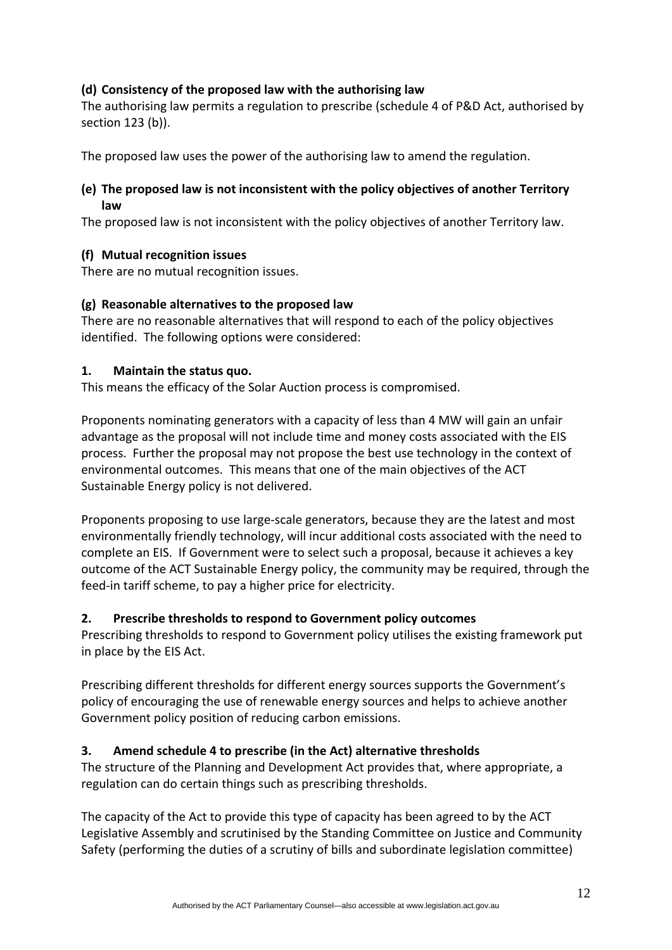# **(d) Consistency of the proposed law with the authorising law**

The authorising law permits a regulation to prescribe (schedule 4 of P&D Act, authorised by section 123 (b)).

The proposed law uses the power of the authorising law to amend the regulation.

# **(e) The proposed law is not inconsistent with the policy objectives of another Territory law**

The proposed law is not inconsistent with the policy objectives of another Territory law.

#### **(f) Mutual recognition issues**

There are no mutual recognition issues.

# **(g) Reasonable alternatives to the proposed law**

There are no reasonable alternatives that will respond to each of the policy objectives identified. The following options were considered:

#### **1. Maintain the status quo.**

This means the efficacy of the Solar Auction process is compromised.

Proponents nominating generators with a capacity of less than 4 MW will gain an unfair advantage as the proposal will not include time and money costs associated with the EIS process. Further the proposal may not propose the best use technology in the context of environmental outcomes. This means that one of the main objectives of the ACT Sustainable Energy policy is not delivered.

Proponents proposing to use large‐scale generators, because they are the latest and most environmentally friendly technology, will incur additional costs associated with the need to complete an EIS. If Government were to select such a proposal, because it achieves a key outcome of the ACT Sustainable Energy policy, the community may be required, through the feed-in tariff scheme, to pay a higher price for electricity.

# **2. Prescribe thresholds to respond to Government policy outcomes**

Prescribing thresholds to respond to Government policy utilises the existing framework put in place by the EIS Act.

Prescribing different thresholds for different energy sources supports the Government's policy of encouraging the use of renewable energy sources and helps to achieve another Government policy position of reducing carbon emissions.

# **3. Amend schedule 4 to prescribe (in the Act) alternative thresholds**

The structure of the Planning and Development Act provides that, where appropriate, a regulation can do certain things such as prescribing thresholds.

The capacity of the Act to provide this type of capacity has been agreed to by the ACT Legislative Assembly and scrutinised by the Standing Committee on Justice and Community Safety (performing the duties of a scrutiny of bills and subordinate legislation committee)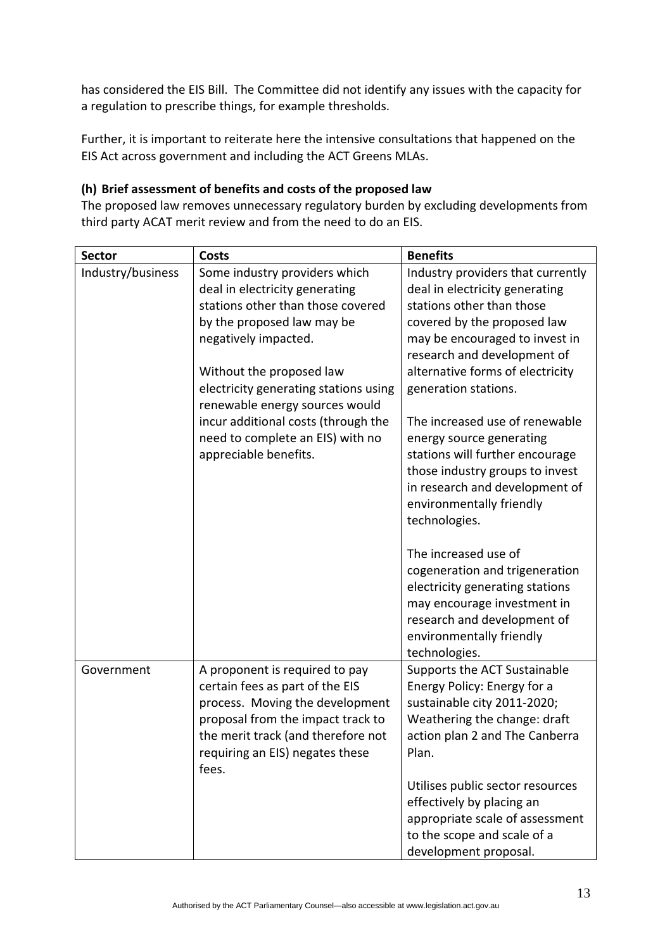has considered the EIS Bill. The Committee did not identify any issues with the capacity for a regulation to prescribe things, for example thresholds.

Further, it is important to reiterate here the intensive consultations that happened on the EIS Act across government and including the ACT Greens MLAs.

# **(h) Brief assessment of benefits and costs of the proposed law**

The proposed law removes unnecessary regulatory burden by excluding developments from third party ACAT merit review and from the need to do an EIS.

| <b>Sector</b>     | Costs                                                                                                                                                                                                                       | <b>Benefits</b>                                                                                                                                                                                                 |
|-------------------|-----------------------------------------------------------------------------------------------------------------------------------------------------------------------------------------------------------------------------|-----------------------------------------------------------------------------------------------------------------------------------------------------------------------------------------------------------------|
| Industry/business | Some industry providers which<br>deal in electricity generating<br>stations other than those covered<br>by the proposed law may be<br>negatively impacted.                                                                  | Industry providers that currently<br>deal in electricity generating<br>stations other than those<br>covered by the proposed law<br>may be encouraged to invest in<br>research and development of                |
|                   | Without the proposed law<br>electricity generating stations using<br>renewable energy sources would                                                                                                                         | alternative forms of electricity<br>generation stations.                                                                                                                                                        |
|                   | incur additional costs (through the<br>need to complete an EIS) with no<br>appreciable benefits.                                                                                                                            | The increased use of renewable<br>energy source generating<br>stations will further encourage<br>those industry groups to invest<br>in research and development of<br>environmentally friendly<br>technologies. |
|                   |                                                                                                                                                                                                                             | The increased use of<br>cogeneration and trigeneration<br>electricity generating stations<br>may encourage investment in<br>research and development of<br>environmentally friendly<br>technologies.            |
| Government        | A proponent is required to pay<br>certain fees as part of the EIS<br>process. Moving the development<br>proposal from the impact track to<br>the merit track (and therefore not<br>requiring an EIS) negates these<br>fees. | Supports the ACT Sustainable<br>Energy Policy: Energy for a<br>sustainable city 2011-2020;<br>Weathering the change: draft<br>action plan 2 and The Canberra<br>Plan.                                           |
|                   |                                                                                                                                                                                                                             | Utilises public sector resources<br>effectively by placing an<br>appropriate scale of assessment<br>to the scope and scale of a<br>development proposal.                                                        |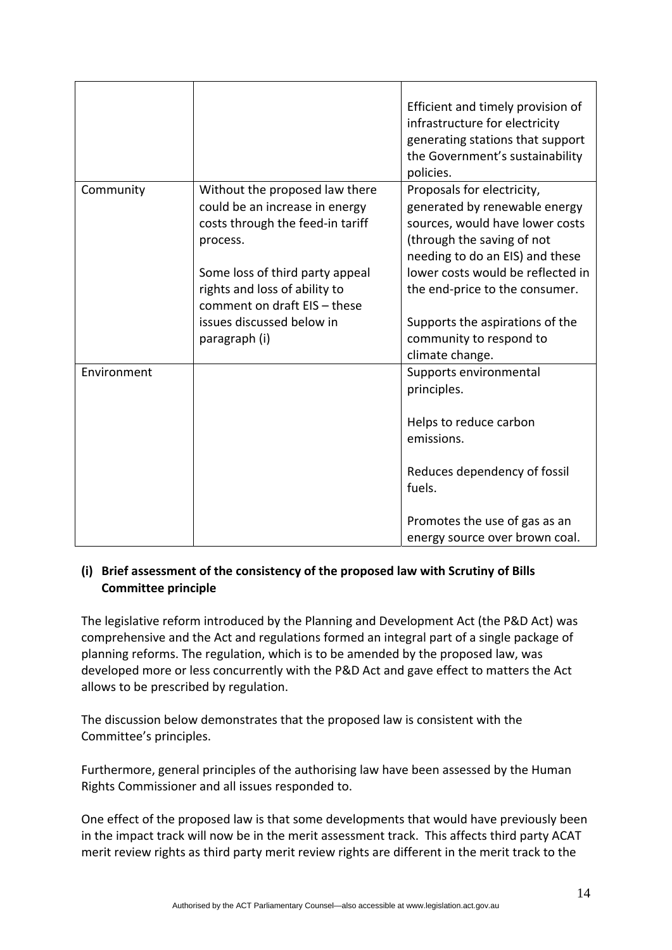|             |                                                                                                                  | Efficient and timely provision of<br>infrastructure for electricity<br>generating stations that support<br>the Government's sustainability<br>policies.         |
|-------------|------------------------------------------------------------------------------------------------------------------|-----------------------------------------------------------------------------------------------------------------------------------------------------------------|
| Community   | Without the proposed law there<br>could be an increase in energy<br>costs through the feed-in tariff<br>process. | Proposals for electricity,<br>generated by renewable energy<br>sources, would have lower costs<br>(through the saving of not<br>needing to do an EIS) and these |
|             | Some loss of third party appeal<br>rights and loss of ability to<br>comment on draft EIS - these                 | lower costs would be reflected in<br>the end-price to the consumer.                                                                                             |
|             | issues discussed below in<br>paragraph (i)                                                                       | Supports the aspirations of the<br>community to respond to<br>climate change.                                                                                   |
| Environment |                                                                                                                  | Supports environmental<br>principles.                                                                                                                           |
|             |                                                                                                                  | Helps to reduce carbon<br>emissions.                                                                                                                            |
|             |                                                                                                                  | Reduces dependency of fossil<br>fuels.                                                                                                                          |
|             |                                                                                                                  | Promotes the use of gas as an<br>energy source over brown coal.                                                                                                 |

# **(i) Brief assessment of the consistency of the proposed law with Scrutiny of Bills Committee principle**

The legislative reform introduced by the Planning and Development Act (the P&D Act) was comprehensive and the Act and regulations formed an integral part of a single package of planning reforms. The regulation, which is to be amended by the proposed law, was developed more or less concurrently with the P&D Act and gave effect to matters the Act allows to be prescribed by regulation.

The discussion below demonstrates that the proposed law is consistent with the Committee's principles.

Furthermore, general principles of the authorising law have been assessed by the Human Rights Commissioner and all issues responded to.

One effect of the proposed law is that some developments that would have previously been in the impact track will now be in the merit assessment track. This affects third party ACAT merit review rights as third party merit review rights are different in the merit track to the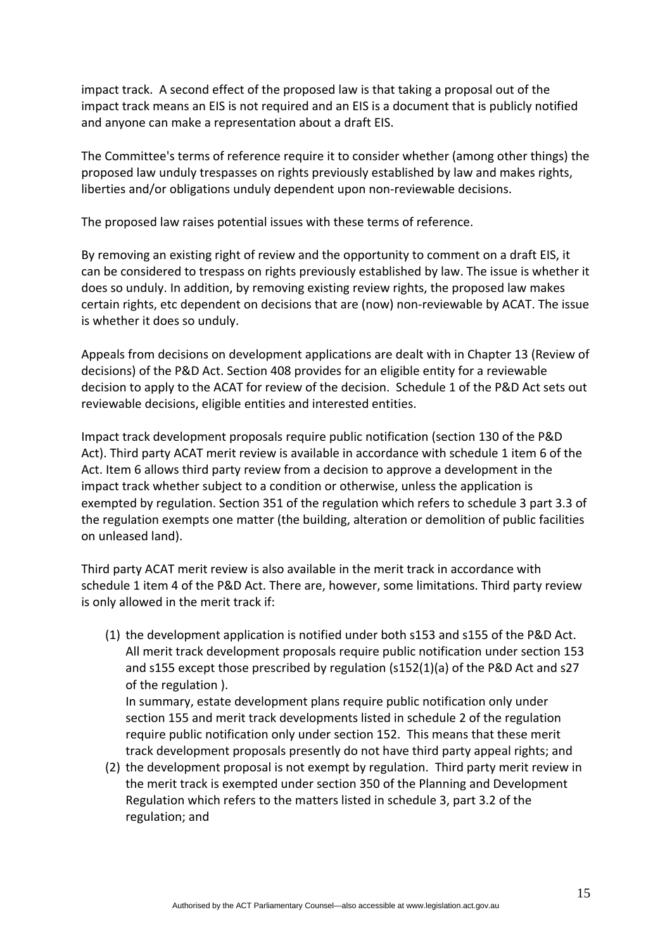impact track. A second effect of the proposed law is that taking a proposal out of the impact track means an EIS is not required and an EIS is a document that is publicly notified and anyone can make a representation about a draft EIS.

The Committee's terms of reference require it to consider whether (among other things) the proposed law unduly trespasses on rights previously established by law and makes rights, liberties and/or obligations unduly dependent upon non-reviewable decisions.

The proposed law raises potential issues with these terms of reference.

By removing an existing right of review and the opportunity to comment on a draft EIS, it can be considered to trespass on rights previously established by law. The issue is whether it does so unduly. In addition, by removing existing review rights, the proposed law makes certain rights, etc dependent on decisions that are (now) non‐reviewable by ACAT. The issue is whether it does so unduly.

Appeals from decisions on development applications are dealt with in Chapter 13 (Review of decisions) of the P&D Act. Section 408 provides for an eligible entity for a reviewable decision to apply to the ACAT for review of the decision. Schedule 1 of the P&D Act sets out reviewable decisions, eligible entities and interested entities.

Impact track development proposals require public notification (section 130 of the P&D Act). Third party ACAT merit review is available in accordance with schedule 1 item 6 of the Act. Item 6 allows third party review from a decision to approve a development in the impact track whether subject to a condition or otherwise, unless the application is exempted by regulation. Section 351 of the regulation which refers to schedule 3 part 3.3 of the regulation exempts one matter (the building, alteration or demolition of public facilities on unleased land).

Third party ACAT merit review is also available in the merit track in accordance with schedule 1 item 4 of the P&D Act. There are, however, some limitations. Third party review is only allowed in the merit track if:

(1) the development application is notified under both s153 and s155 of the P&D Act. All merit track development proposals require public notification under section 153 and s155 except those prescribed by regulation (s152(1)(a) of the P&D Act and s27 of the regulation ).

In summary, estate development plans require public notification only under section 155 and merit track developments listed in schedule 2 of the regulation require public notification only under section 152. This means that these merit track development proposals presently do not have third party appeal rights; and

(2) the development proposal is not exempt by regulation. Third party merit review in the merit track is exempted under section 350 of the Planning and Development Regulation which refers to the matters listed in schedule 3, part 3.2 of the regulation; and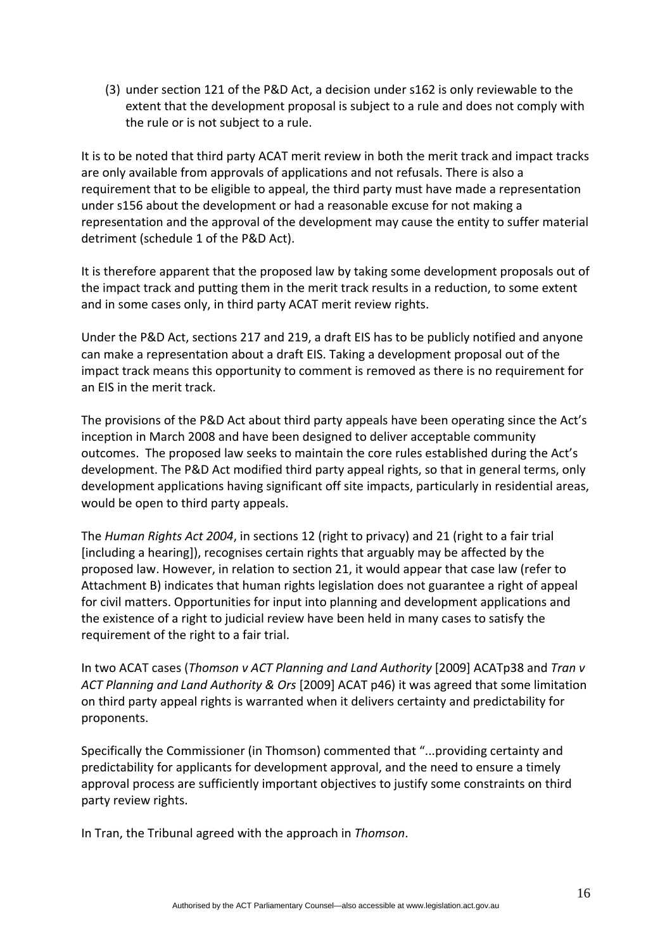(3) under section 121 of the P&D Act, a decision under s162 is only reviewable to the extent that the development proposal is subject to a rule and does not comply with the rule or is not subject to a rule.

It is to be noted that third party ACAT merit review in both the merit track and impact tracks are only available from approvals of applications and not refusals. There is also a requirement that to be eligible to appeal, the third party must have made a representation under s156 about the development or had a reasonable excuse for not making a representation and the approval of the development may cause the entity to suffer material detriment (schedule 1 of the P&D Act).

It is therefore apparent that the proposed law by taking some development proposals out of the impact track and putting them in the merit track results in a reduction, to some extent and in some cases only, in third party ACAT merit review rights.

Under the P&D Act, sections 217 and 219, a draft EIS has to be publicly notified and anyone can make a representation about a draft EIS. Taking a development proposal out of the impact track means this opportunity to comment is removed as there is no requirement for an EIS in the merit track.

The provisions of the P&D Act about third party appeals have been operating since the Act's inception in March 2008 and have been designed to deliver acceptable community outcomes. The proposed law seeks to maintain the core rules established during the Act's development. The P&D Act modified third party appeal rights, so that in general terms, only development applications having significant off site impacts, particularly in residential areas, would be open to third party appeals.

The *Human Rights Act 2004*, in sections 12 (right to privacy) and 21 (right to a fair trial [including a hearing]), recognises certain rights that arguably may be affected by the proposed law. However, in relation to section 21, it would appear that case law (refer to Attachment B) indicates that human rights legislation does not guarantee a right of appeal for civil matters. Opportunities for input into planning and development applications and the existence of a right to judicial review have been held in many cases to satisfy the requirement of the right to a fair trial.

In two ACAT cases (*Thomson v ACT Planning and Land Authority* [2009] ACATp38 and *Tran v ACT Planning and Land Authority & Ors* [2009] ACAT p46) it was agreed that some limitation on third party appeal rights is warranted when it delivers certainty and predictability for proponents.

Specifically the Commissioner (in Thomson) commented that "...providing certainty and predictability for applicants for development approval, and the need to ensure a timely approval process are sufficiently important objectives to justify some constraints on third party review rights.

In Tran, the Tribunal agreed with the approach in *Thomson*.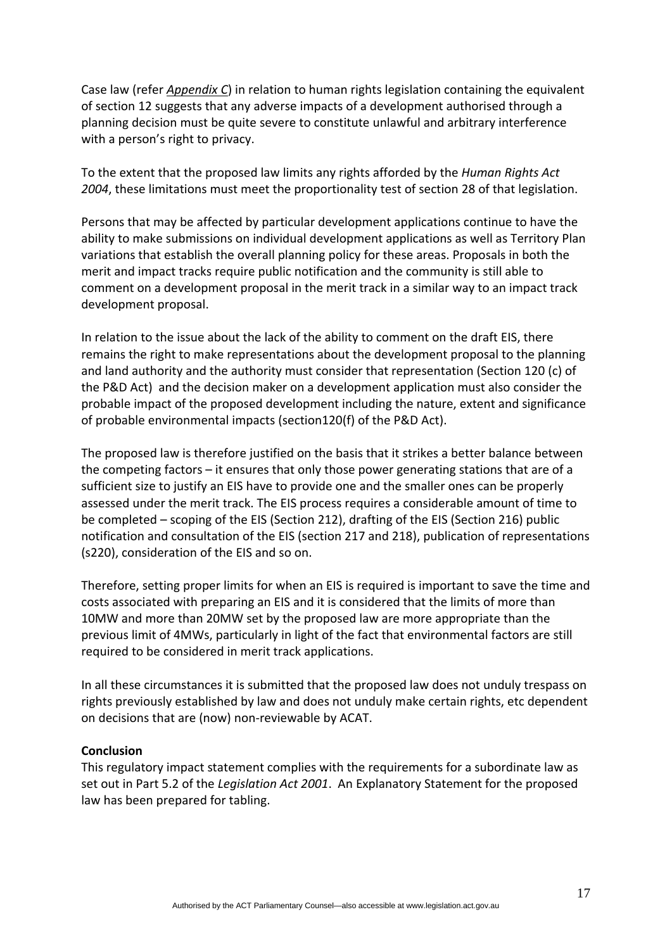Case law (refer *Appendix C*) in relation to human rights legislation containing the equivalent of section 12 suggests that any adverse impacts of a development authorised through a planning decision must be quite severe to constitute unlawful and arbitrary interference with a person's right to privacy.

To the extent that the proposed law limits any rights afforded by the *Human Rights Act 2004*, these limitations must meet the proportionality test of section 28 of that legislation.

Persons that may be affected by particular development applications continue to have the ability to make submissions on individual development applications as well as Territory Plan variations that establish the overall planning policy for these areas. Proposals in both the merit and impact tracks require public notification and the community is still able to comment on a development proposal in the merit track in a similar way to an impact track development proposal.

In relation to the issue about the lack of the ability to comment on the draft EIS, there remains the right to make representations about the development proposal to the planning and land authority and the authority must consider that representation (Section 120 (c) of the P&D Act) and the decision maker on a development application must also consider the probable impact of the proposed development including the nature, extent and significance of probable environmental impacts (section120(f) of the P&D Act).

The proposed law is therefore justified on the basis that it strikes a better balance between the competing factors – it ensures that only those power generating stations that are of a sufficient size to justify an EIS have to provide one and the smaller ones can be properly assessed under the merit track. The EIS process requires a considerable amount of time to be completed – scoping of the EIS (Section 212), drafting of the EIS (Section 216) public notification and consultation of the EIS (section 217 and 218), publication of representations (s220), consideration of the EIS and so on.

Therefore, setting proper limits for when an EIS is required is important to save the time and costs associated with preparing an EIS and it is considered that the limits of more than 10MW and more than 20MW set by the proposed law are more appropriate than the previous limit of 4MWs, particularly in light of the fact that environmental factors are still required to be considered in merit track applications.

In all these circumstances it is submitted that the proposed law does not unduly trespass on rights previously established by law and does not unduly make certain rights, etc dependent on decisions that are (now) non‐reviewable by ACAT.

#### **Conclusion**

This regulatory impact statement complies with the requirements for a subordinate law as set out in Part 5.2 of the *Legislation Act 2001*. An Explanatory Statement for the proposed law has been prepared for tabling.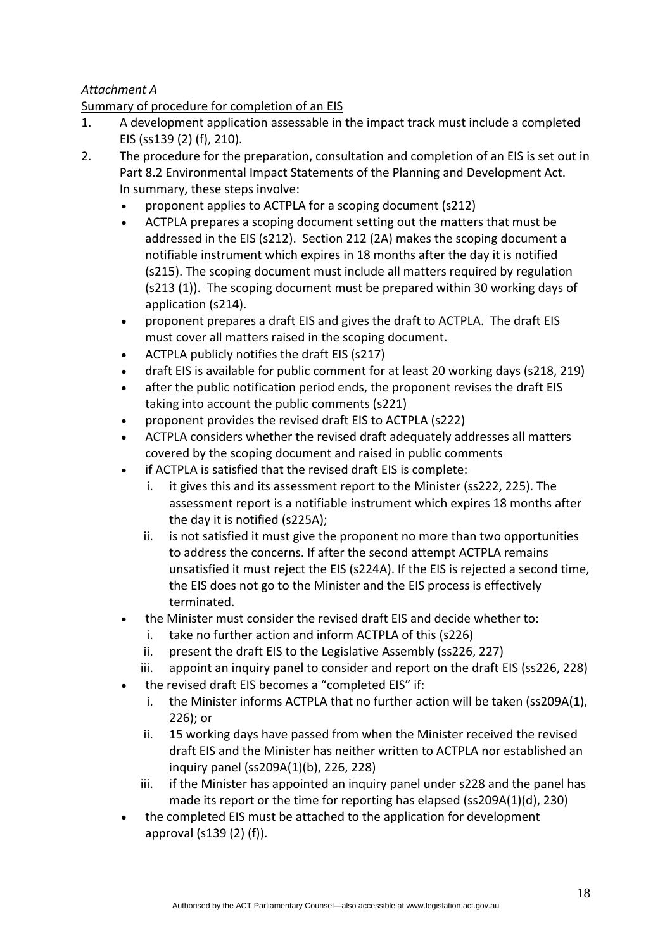# *Attachment A*

# Summary of procedure for completion of an EIS

- 1. A development application assessable in the impact track must include a completed EIS (ss139 (2) (f), 210).
- 2. The procedure for the preparation, consultation and completion of an EIS is set out in Part 8.2 Environmental Impact Statements of the Planning and Development Act. In summary, these steps involve:
	- proponent applies to ACTPLA for a scoping document (s212)
	- ACTPLA prepares a scoping document setting out the matters that must be addressed in the EIS (s212). Section 212 (2A) makes the scoping document a notifiable instrument which expires in 18 months after the day it is notified (s215). The scoping document must include all matters required by regulation (s213 (1)). The scoping document must be prepared within 30 working days of application (s214).
	- proponent prepares a draft EIS and gives the draft to ACTPLA. The draft EIS must cover all matters raised in the scoping document.
	- ACTPLA publicly notifies the draft EIS (s217)
	- draft EIS is available for public comment for at least 20 working days (s218, 219)
	- after the public notification period ends, the proponent revises the draft EIS taking into account the public comments (s221)
	- proponent provides the revised draft EIS to ACTPLA (s222)
	- ACTPLA considers whether the revised draft adequately addresses all matters covered by the scoping document and raised in public comments
	- if ACTPLA is satisfied that the revised draft EIS is complete:
		- i. it gives this and its assessment report to the Minister (ss222, 225). The assessment report is a notifiable instrument which expires 18 months after the day it is notified (s225A);
		- ii. is not satisfied it must give the proponent no more than two opportunities to address the concerns. If after the second attempt ACTPLA remains unsatisfied it must reject the EIS (s224A). If the EIS is rejected a second time, the EIS does not go to the Minister and the EIS process is effectively terminated.
	- the Minister must consider the revised draft EIS and decide whether to:
		- i. take no further action and inform ACTPLA of this (s226)
		- ii. present the draft EIS to the Legislative Assembly (ss226, 227)
		- iii. appoint an inquiry panel to consider and report on the draft EIS (ss226, 228)
	- the revised draft EIS becomes a "completed EIS" if:
		- i. the Minister informs ACTPLA that no further action will be taken (ss209A(1), 226); or
		- ii. 15 working days have passed from when the Minister received the revised draft EIS and the Minister has neither written to ACTPLA nor established an inquiry panel (ss209A(1)(b), 226, 228)
		- iii. if the Minister has appointed an inquiry panel under s228 and the panel has made its report or the time for reporting has elapsed (ss209A(1)(d), 230)
	- the completed EIS must be attached to the application for development approval (s139 (2) (f)).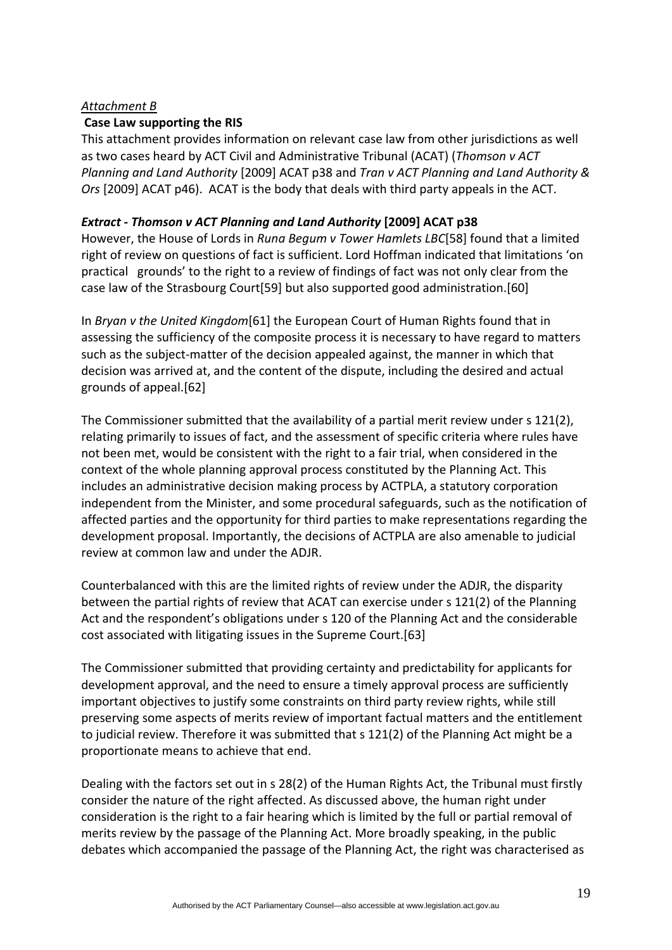#### *Attachment B*

#### **Case Law supporting the RIS**

This attachment provides information on relevant case law from other jurisdictions as well as two cases heard by ACT Civil and Administrative Tribunal (ACAT) (*Thomson v ACT Planning and Land Authority* [2009] ACAT p38 and *Tran v ACT Planning and Land Authority & Ors* [2009] ACAT p46). ACAT is the body that deals with third party appeals in the ACT.

#### *Extract ‐ Thomson v ACT Planning and Land Authority* **[2009] ACAT p38**

However, the House of Lords in *Runa Begum v Tower Hamlets LBC*[58] found that a limited right of review on questions of fact is sufficient. Lord Hoffman indicated that limitations 'on practical grounds' to the right to a review of findings of fact was not only clear from the case law of the Strasbourg Court[59] but also supported good administration.[60]

In *Bryan v the United Kingdom*[61] the European Court of Human Rights found that in assessing the sufficiency of the composite process it is necessary to have regard to matters such as the subject‐matter of the decision appealed against, the manner in which that decision was arrived at, and the content of the dispute, including the desired and actual grounds of appeal.[62]

The Commissioner submitted that the availability of a partial merit review under s 121(2), relating primarily to issues of fact, and the assessment of specific criteria where rules have not been met, would be consistent with the right to a fair trial, when considered in the context of the whole planning approval process constituted by the Planning Act. This includes an administrative decision making process by ACTPLA, a statutory corporation independent from the Minister, and some procedural safeguards, such as the notification of affected parties and the opportunity for third parties to make representations regarding the development proposal. Importantly, the decisions of ACTPLA are also amenable to judicial review at common law and under the ADJR.

Counterbalanced with this are the limited rights of review under the ADJR, the disparity between the partial rights of review that ACAT can exercise under s 121(2) of the Planning Act and the respondent's obligations under s 120 of the Planning Act and the considerable cost associated with litigating issues in the Supreme Court.[63]

The Commissioner submitted that providing certainty and predictability for applicants for development approval, and the need to ensure a timely approval process are sufficiently important objectives to justify some constraints on third party review rights, while still preserving some aspects of merits review of important factual matters and the entitlement to judicial review. Therefore it was submitted that s 121(2) of the Planning Act might be a proportionate means to achieve that end.

Dealing with the factors set out in s 28(2) of the Human Rights Act, the Tribunal must firstly consider the nature of the right affected. As discussed above, the human right under consideration is the right to a fair hearing which is limited by the full or partial removal of merits review by the passage of the Planning Act. More broadly speaking, in the public debates which accompanied the passage of the Planning Act, the right was characterised as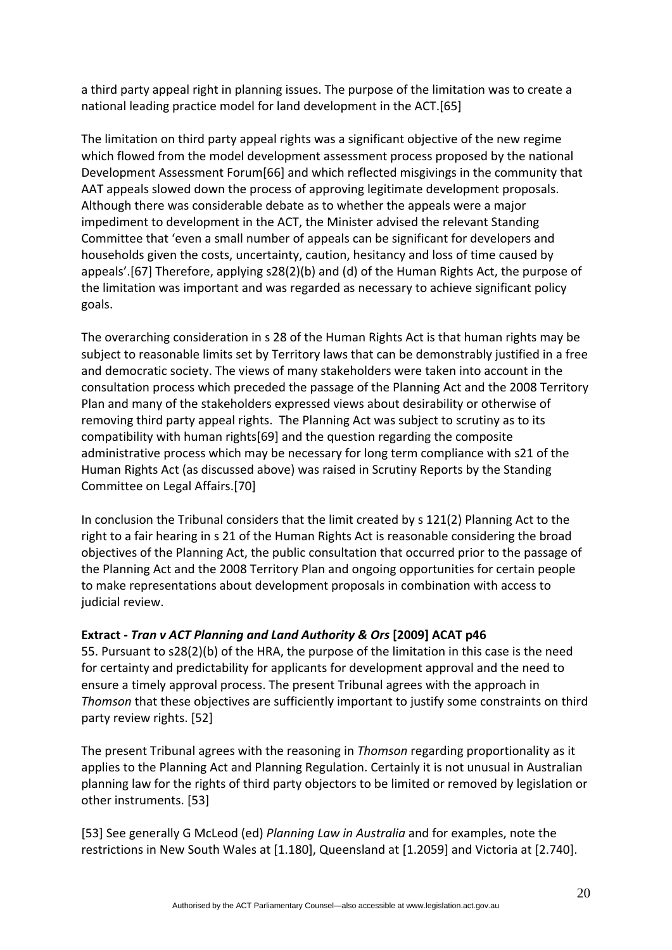a third party appeal right in planning issues. The purpose of the limitation was to create a national leading practice model for land development in the ACT.[65]

The limitation on third party appeal rights was a significant objective of the new regime which flowed from the model development assessment process proposed by the national Development Assessment Forum[66] and which reflected misgivings in the community that AAT appeals slowed down the process of approving legitimate development proposals. Although there was considerable debate as to whether the appeals were a major impediment to development in the ACT, the Minister advised the relevant Standing Committee that 'even a small number of appeals can be significant for developers and households given the costs, uncertainty, caution, hesitancy and loss of time caused by appeals'.[67] Therefore, applying s28(2)(b) and (d) of the Human Rights Act, the purpose of the limitation was important and was regarded as necessary to achieve significant policy goals.

The overarching consideration in s 28 of the Human Rights Act is that human rights may be subject to reasonable limits set by Territory laws that can be demonstrably justified in a free and democratic society. The views of many stakeholders were taken into account in the consultation process which preceded the passage of the Planning Act and the 2008 Territory Plan and many of the stakeholders expressed views about desirability or otherwise of removing third party appeal rights. The Planning Act was subject to scrutiny as to its compatibility with human rights[69] and the question regarding the composite administrative process which may be necessary for long term compliance with s21 of the Human Rights Act (as discussed above) was raised in Scrutiny Reports by the Standing Committee on Legal Affairs.[70]

In conclusion the Tribunal considers that the limit created by s 121(2) Planning Act to the right to a fair hearing in s 21 of the Human Rights Act is reasonable considering the broad objectives of the Planning Act, the public consultation that occurred prior to the passage of the Planning Act and the 2008 Territory Plan and ongoing opportunities for certain people to make representations about development proposals in combination with access to judicial review.

# **Extract ‐** *Tran v ACT Planning and Land Authority & Ors* **[2009] ACAT p46**

55. Pursuant to s28(2)(b) of the HRA, the purpose of the limitation in this case is the need for certainty and predictability for applicants for development approval and the need to ensure a timely approval process. The present Tribunal agrees with the approach in *Thomson* that these objectives are sufficiently important to justify some constraints on third party review rights. [52]

The present Tribunal agrees with the reasoning in *Thomson* regarding proportionality as it applies to the Planning Act and Planning Regulation. Certainly it is not unusual in Australian planning law for the rights of third party objectors to be limited or removed by legislation or other instruments. [53]

[53] See generally G McLeod (ed) *Planning Law in Australia* and for examples, note the restrictions in New South Wales at [1.180], Queensland at [1.2059] and Victoria at [2.740].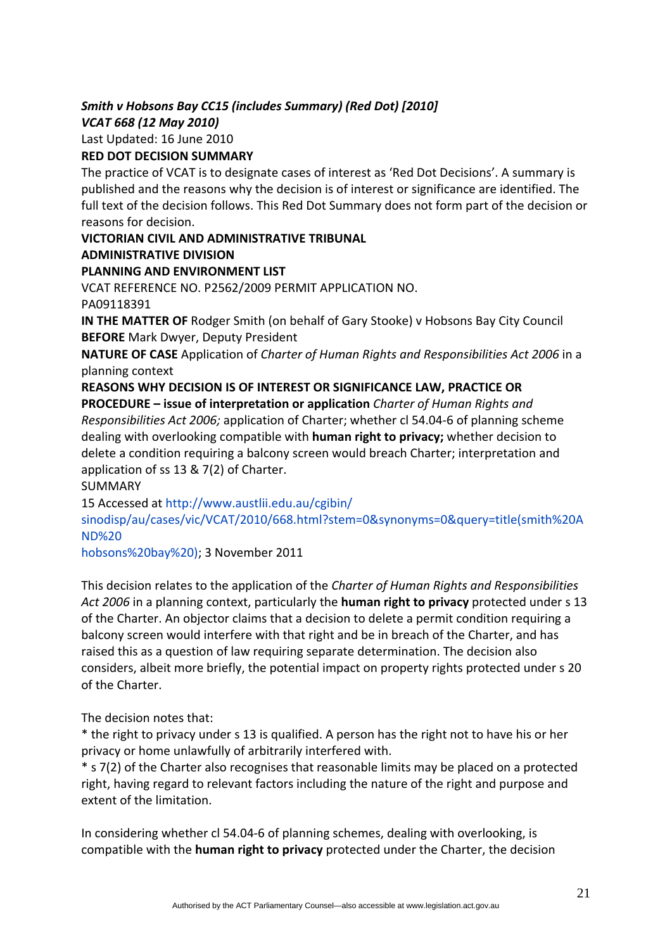# *Smith v Hobsons Bay CC15 (includes Summary) (Red Dot) [2010] VCAT 668 (12 May 2010)*

Last Updated: 16 June 2010

# **RED DOT DECISION SUMMARY**

The practice of VCAT is to designate cases of interest as 'Red Dot Decisions'. A summary is published and the reasons why the decision is of interest or significance are identified. The full text of the decision follows. This Red Dot Summary does not form part of the decision or reasons for decision.

**VICTORIAN CIVIL AND ADMINISTRATIVE TRIBUNAL**

#### **ADMINISTRATIVE DIVISION**

# **PLANNING AND ENVIRONMENT LIST**

VCAT REFERENCE NO. P2562/2009 PERMIT APPLICATION NO. PA09118391

**IN THE MATTER OF** Rodger Smith (on behalf of Gary Stooke) v Hobsons Bay City Council **BEFORE** Mark Dwyer, Deputy President

**NATURE OF CASE** Application of *Charter of Human Rights and Responsibilities Act 2006* in a planning context

#### **REASONS WHY DECISION IS OF INTEREST OR SIGNIFICANCE LAW, PRACTICE OR PROCEDURE – issue of interpretation or application** *Charter of Human Rights and*

*Responsibilities Act 2006;* application of Charter; whether cl 54.04‐6 of planning scheme dealing with overlooking compatible with **human right to privacy;** whether decision to delete a condition requiring a balcony screen would breach Charter; interpretation and application of ss 13 & 7(2) of Charter.

SUMMARY

15 Accessed at http://www.austlii.edu.au/cgibin/

sinodisp/au/cases/vic/VCAT/2010/668.html?stem=0&synonyms=0&query=title(smith%20A ND%20

hobsons%20bay%20); 3 November 2011

This decision relates to the application of the *Charter of Human Rights and Responsibilities Act 2006* in a planning context, particularly the **human right to privacy** protected under s 13 of the Charter. An objector claims that a decision to delete a permit condition requiring a balcony screen would interfere with that right and be in breach of the Charter, and has raised this as a question of law requiring separate determination. The decision also considers, albeit more briefly, the potential impact on property rights protected under s 20 of the Charter.

The decision notes that:

\* the right to privacy under s 13 is qualified. A person has the right not to have his or her privacy or home unlawfully of arbitrarily interfered with.

\* s 7(2) of the Charter also recognises that reasonable limits may be placed on a protected right, having regard to relevant factors including the nature of the right and purpose and extent of the limitation.

In considering whether cl 54.04‐6 of planning schemes, dealing with overlooking, is compatible with the **human right to privacy** protected under the Charter, the decision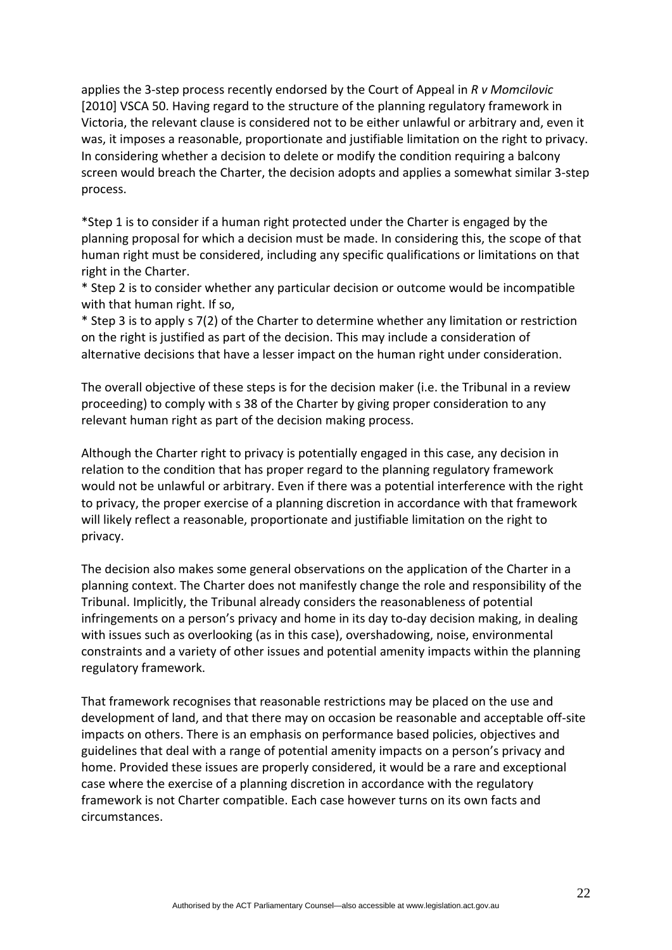applies the 3‐step process recently endorsed by the Court of Appeal in *R v Momcilovic* [2010] VSCA 50. Having regard to the structure of the planning regulatory framework in Victoria, the relevant clause is considered not to be either unlawful or arbitrary and, even it was, it imposes a reasonable, proportionate and justifiable limitation on the right to privacy. In considering whether a decision to delete or modify the condition requiring a balcony screen would breach the Charter, the decision adopts and applies a somewhat similar 3‐step process.

\*Step 1 is to consider if a human right protected under the Charter is engaged by the planning proposal for which a decision must be made. In considering this, the scope of that human right must be considered, including any specific qualifications or limitations on that right in the Charter.

\* Step 2 is to consider whether any particular decision or outcome would be incompatible with that human right. If so,

\* Step 3 is to apply s 7(2) of the Charter to determine whether any limitation or restriction on the right is justified as part of the decision. This may include a consideration of alternative decisions that have a lesser impact on the human right under consideration.

The overall objective of these steps is for the decision maker (i.e. the Tribunal in a review proceeding) to comply with s 38 of the Charter by giving proper consideration to any relevant human right as part of the decision making process.

Although the Charter right to privacy is potentially engaged in this case, any decision in relation to the condition that has proper regard to the planning regulatory framework would not be unlawful or arbitrary. Even if there was a potential interference with the right to privacy, the proper exercise of a planning discretion in accordance with that framework will likely reflect a reasonable, proportionate and justifiable limitation on the right to privacy.

The decision also makes some general observations on the application of the Charter in a planning context. The Charter does not manifestly change the role and responsibility of the Tribunal. Implicitly, the Tribunal already considers the reasonableness of potential infringements on a person's privacy and home in its day to-day decision making, in dealing with issues such as overlooking (as in this case), overshadowing, noise, environmental constraints and a variety of other issues and potential amenity impacts within the planning regulatory framework.

That framework recognises that reasonable restrictions may be placed on the use and development of land, and that there may on occasion be reasonable and acceptable off‐site impacts on others. There is an emphasis on performance based policies, objectives and guidelines that deal with a range of potential amenity impacts on a person's privacy and home. Provided these issues are properly considered, it would be a rare and exceptional case where the exercise of a planning discretion in accordance with the regulatory framework is not Charter compatible. Each case however turns on its own facts and circumstances.